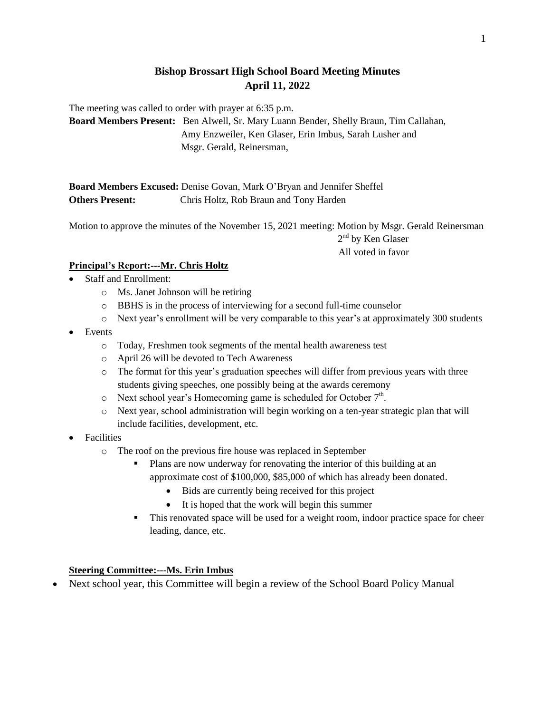# **Bishop Brossart High School Board Meeting Minutes April 11, 2022**

The meeting was called to order with prayer at 6:35 p.m.

**Board Members Present:** Ben Alwell, Sr. Mary Luann Bender, Shelly Braun, Tim Callahan, Amy Enzweiler, Ken Glaser, Erin Imbus, Sarah Lusher and Msgr. Gerald, Reinersman,

**Board Members Excused:** Denise Govan, Mark O'Bryan and Jennifer Sheffel **Others Present:** Chris Holtz, Rob Braun and Tony Harden

Motion to approve the minutes of the November 15, 2021 meeting: Motion by Msgr. Gerald Reinersman  $2<sup>nd</sup>$  by Ken Glaser All voted in favor

## **Principal's Report:---Mr. Chris Holtz**

- Staff and Enrollment:
	- o Ms. Janet Johnson will be retiring
	- o BBHS is in the process of interviewing for a second full-time counselor
	- $\circ$  Next year's enrollment will be very comparable to this year's at approximately 300 students

### Events

- o Today, Freshmen took segments of the mental health awareness test
- o April 26 will be devoted to Tech Awareness
- o The format for this year's graduation speeches will differ from previous years with three students giving speeches, one possibly being at the awards ceremony
- $\circ$  Next school year's Homecoming game is scheduled for October  $7<sup>th</sup>$ .
- o Next year, school administration will begin working on a ten-year strategic plan that will include facilities, development, etc.
- Facilities
	- o The roof on the previous fire house was replaced in September
		- **Plans are now underway for renovating the interior of this building at an** approximate cost of \$100,000, \$85,000 of which has already been donated.
			- Bids are currently being received for this project
			- It is hoped that the work will begin this summer
		- This renovated space will be used for a weight room, indoor practice space for cheer leading, dance, etc.

#### **Steering Committee:---Ms. Erin Imbus**

• Next school year, this Committee will begin a review of the School Board Policy Manual